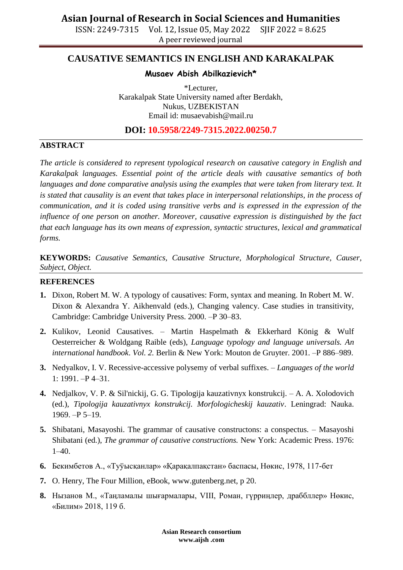ISSN: 2249-7315 Vol. 12, Issue 05, May 2022 SJIF 2022 = 8.625 A peer reviewed journal

# **CAUSATIVE SEMANTICS IN ENGLISH AND KARAKALPAK**

### **Musaev Abish Abilkazievich\***

\*Lecturer, Karakalpak State University named after Berdakh, Nukus, UZBEKISTAN Email id: [musaevabish@mail.ru](mailto:musaevabish@mail.ru)

## **DOI: 10.5958/2249-7315.2022.00250.7**

### **ABSTRACT**

*The article is considered to represent typological research on causative category in English and Karakalpak languages. Essential point of the article deals with causative semantics of both languages and done comparative analysis using the examples that were taken from literary text. It is stated that causality is an event that takes place in interpersonal relationships, in the process of communication, and it is coded using transitive verbs and is expressed in the expression of the influence of one person on another. Moreover, causative expression is distinguished by the fact that each language has its own means of expression, syntactic structures, lexical and grammatical forms.*

**KEYWORDS:** *Causative Semantics, Causative Structure, Morphological Structure, Causer, Subject, Object.*

### **REFERENCES**

- **1.** Dixon, Robert M. W. A typology of causatives: Form, syntax and meaning. In Robert M. W. Dixon & Alexandra Y. Aikhenvald (eds.), Changing valency. Case studies in transitivity, Cambridge: Cambridge University Press. 2000. –P 30–83.
- **2.** Kulikov, Leonid Causatives. Martin Haspelmath & Ekkerhard König & Wulf Oesterreicher & Woldgang Raible (eds), *Language typology and language universals. An international handbook*. *Vol. 2.* Berlin & New York: Mouton de Gruyter. 2001. –P 886–989.
- **3.** Nedyalkov, I. V. Recessive-accessive polysemy of verbal suffixes. *Languages of the world*  1: 1991. –P 4–31.
- **4.** Nedjalkov, V. P. & Sil'nickij, G. G. Tipologija kauzativnyx konstrukcij. A. A. Xolodovich (ed.), *Tipologija kauzativnyx konstrukcij. Morfologicheskij kauzativ*. Leningrad: Nauka. 1969. –P 5–19.
- **5.** Shibatani, Masayoshi. The grammar of causative constructons: a conspectus. Masayoshi Shibatani (ed.), *The grammar of causative constructions.* New York: Academic Press. 1976:  $1-40.$
- **6.** Бекимбетов А., «Туўысқанлар» «Қарақалпақстан» баспасы, Нөкис, 1978, 117-бет
- **7.** O. Henry, The Four Million, eBook, www.gutenberg.net, p 20.
- **8.** Нызанов М., «Таңламалы шығармалары, VIII, Роман, гүрриңлер, драббллер» Нөкис, «Билим» 2018, 119 б.